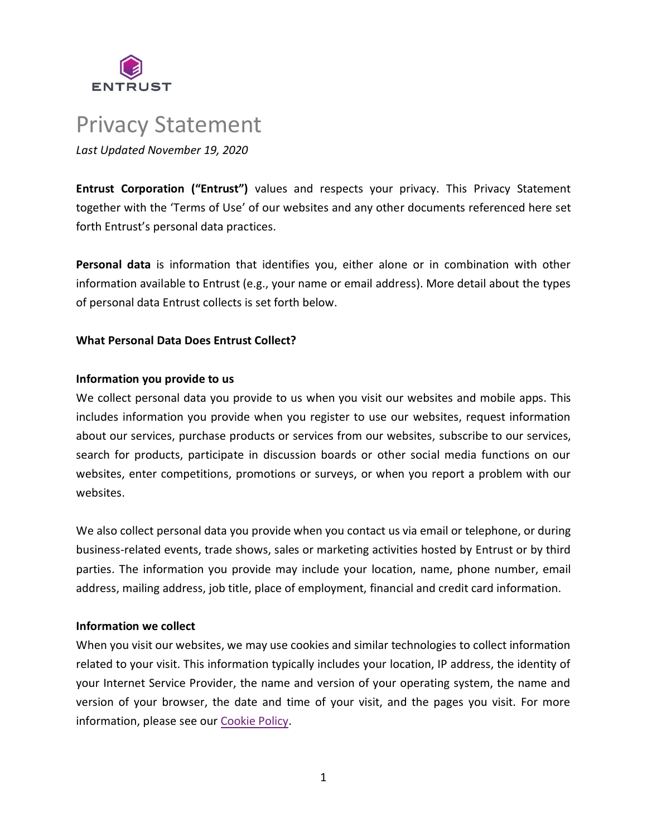

# Privacy Statement *Last Updated November 19, 2020*

**Entrust Corporation ("Entrust")** values and respects your privacy. This Privacy Statement together with the 'Terms of Use' of our websites and any other documents referenced here set forth Entrust's personal data practices.

**Personal data** is information that identifies you, either alone or in combination with other information available to Entrust (e.g., your name or email address). More detail about the types of personal data Entrust collects is set forth below.

# **What Personal Data Does Entrust Collect?**

## **Information you provide to us**

We collect personal data you provide to us when you visit our websites and mobile apps. This includes information you provide when you register to use our websites, request information about our services, purchase products or services from our websites, subscribe to our services, search for products, participate in discussion boards or other social media functions on our websites, enter competitions, promotions or surveys, or when you report a problem with our websites.

We also collect personal data you provide when you contact us via email or telephone, or during business-related events, trade shows, sales or marketing activities hosted by Entrust or by third parties. The information you provide may include your location, name, phone number, email address, mailing address, job title, place of employment, financial and credit card information.

## **Information we collect**

When you visit our websites, we may use cookies and similar technologies to collect information related to your visit. This information typically includes your location, IP address, the identity of your Internet Service Provider, the name and version of your operating system, the name and version of your browser, the date and time of your visit, and the pages you visit. For more information, please see our [Cookie Policy.](https://www.entrust.com/legal-compliance/policies/cookie-policy)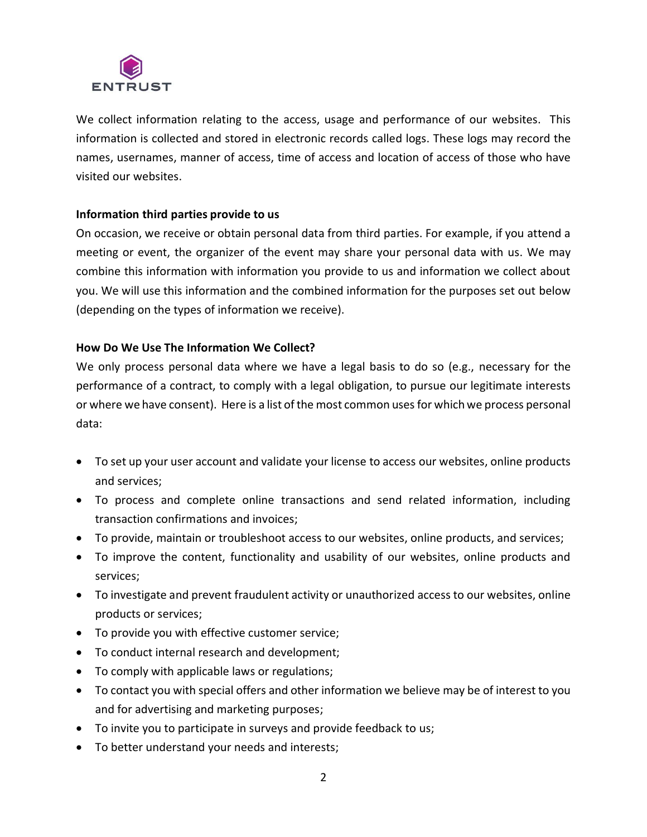

We collect information relating to the access, usage and performance of our websites. This information is collected and stored in electronic records called logs. These logs may record the names, usernames, manner of access, time of access and location of access of those who have visited our websites.

## **Information third parties provide to us**

On occasion, we receive or obtain personal data from third parties. For example, if you attend a meeting or event, the organizer of the event may share your personal data with us. We may combine this information with information you provide to us and information we collect about you. We will use this information and the combined information for the purposes set out below (depending on the types of information we receive).

## **How Do We Use The Information We Collect?**

We only process personal data where we have a legal basis to do so (e.g., necessary for the performance of a contract, to comply with a legal obligation, to pursue our legitimate interests or where we have consent). Here is a list of the most common uses for which we process personal data:

- To set up your user account and validate your license to access our websites, online products and services;
- To process and complete online transactions and send related information, including transaction confirmations and invoices;
- To provide, maintain or troubleshoot access to our websites, online products, and services;
- To improve the content, functionality and usability of our websites, online products and services;
- To investigate and prevent fraudulent activity or unauthorized access to our websites, online products or services;
- To provide you with effective customer service;
- To conduct internal research and development;
- To comply with applicable laws or regulations;
- To contact you with special offers and other information we believe may be of interest to you and for advertising and marketing purposes;
- To invite you to participate in surveys and provide feedback to us;
- To better understand your needs and interests;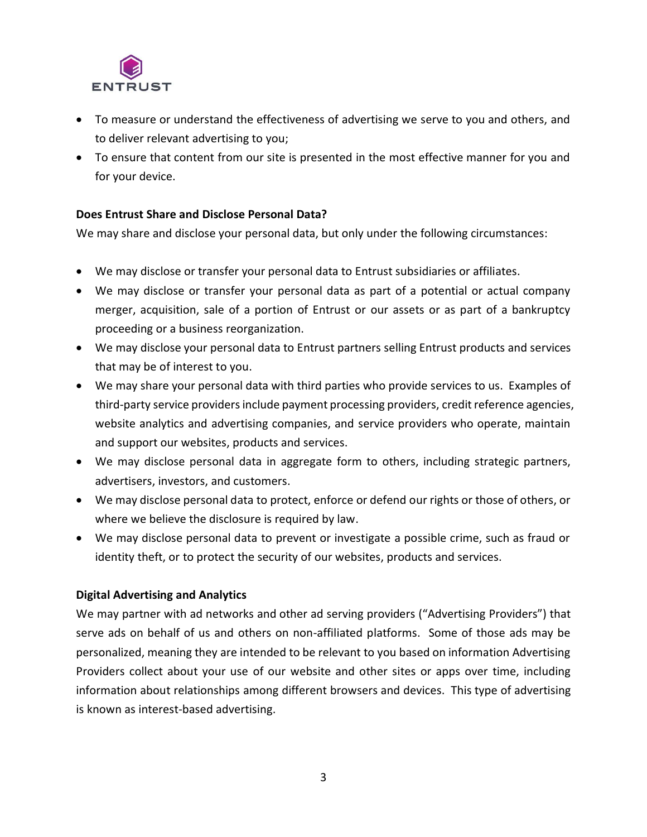

- To measure or understand the effectiveness of advertising we serve to you and others, and to deliver relevant advertising to you;
- To ensure that content from our site is presented in the most effective manner for you and for your device.

## **Does Entrust Share and Disclose Personal Data?**

We may share and disclose your personal data, but only under the following circumstances:

- We may disclose or transfer your personal data to Entrust subsidiaries or affiliates.
- We may disclose or transfer your personal data as part of a potential or actual company merger, acquisition, sale of a portion of Entrust or our assets or as part of a bankruptcy proceeding or a business reorganization.
- We may disclose your personal data to Entrust partners selling Entrust products and services that may be of interest to you.
- We may share your personal data with third parties who provide services to us. Examples of third-party service providers include payment processing providers, credit reference agencies, website analytics and advertising companies, and service providers who operate, maintain and support our websites, products and services.
- We may disclose personal data in aggregate form to others, including strategic partners, advertisers, investors, and customers.
- We may disclose personal data to protect, enforce or defend our rights or those of others, or where we believe the disclosure is required by law.
- We may disclose personal data to prevent or investigate a possible crime, such as fraud or identity theft, or to protect the security of our websites, products and services.

## **Digital Advertising and Analytics**

We may partner with ad networks and other ad serving providers ("Advertising Providers") that serve ads on behalf of us and others on non-affiliated platforms. Some of those ads may be personalized, meaning they are intended to be relevant to you based on information Advertising Providers collect about your use of our website and other sites or apps over time, including information about relationships among different browsers and devices. This type of advertising is known as interest-based advertising.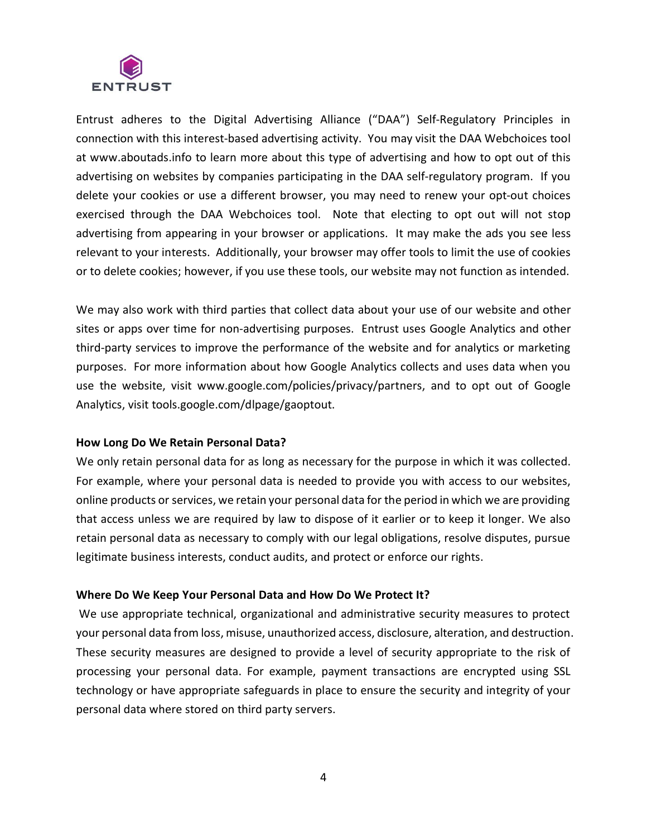

Entrust adheres to the Digital Advertising Alliance ("DAA") Self-Regulatory Principles in connection with this interest-based advertising activity. You may visit the DAA Webchoices tool at www.aboutads.info to learn more about this type of advertising and how to opt out of this advertising on websites by companies participating in the DAA self-regulatory program. If you delete your cookies or use a different browser, you may need to renew your opt-out choices exercised through the DAA Webchoices tool. Note that electing to opt out will not stop advertising from appearing in your browser or applications. It may make the ads you see less relevant to your interests. Additionally, your browser may offer tools to limit the use of cookies or to delete cookies; however, if you use these tools, our website may not function as intended.

We may also work with third parties that collect data about your use of our website and other sites or apps over time for non-advertising purposes. Entrust uses Google Analytics and other third-party services to improve the performance of the website and for analytics or marketing purposes. For more information about how Google Analytics collects and uses data when you use the website, visit www.google.com/policies/privacy/partners, and to opt out of Google Analytics, visit tools.google.com/dlpage/gaoptout.

## **How Long Do We Retain Personal Data?**

We only retain personal data for as long as necessary for the purpose in which it was collected. For example, where your personal data is needed to provide you with access to our websites, online products or services, we retain your personal data for the period in which we are providing that access unless we are required by law to dispose of it earlier or to keep it longer. We also retain personal data as necessary to comply with our legal obligations, resolve disputes, pursue legitimate business interests, conduct audits, and protect or enforce our rights.

#### **Where Do We Keep Your Personal Data and How Do We Protect It?**

We use appropriate technical, organizational and administrative security measures to protect your personal data from loss, misuse, unauthorized access, disclosure, alteration, and destruction. These security measures are designed to provide a level of security appropriate to the risk of processing your personal data. For example, payment transactions are encrypted using SSL technology or have appropriate safeguards in place to ensure the security and integrity of your personal data where stored on third party servers.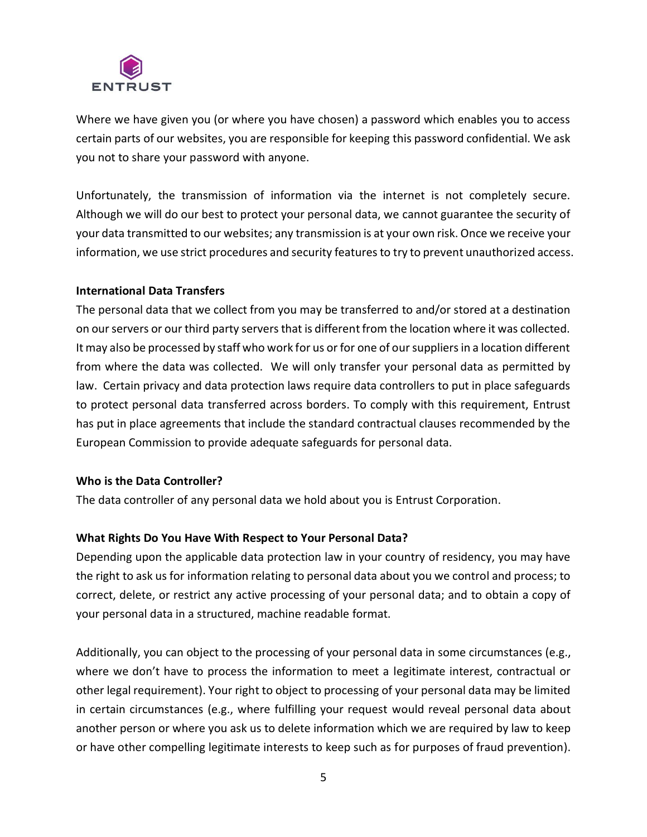

Where we have given you (or where you have chosen) a password which enables you to access certain parts of our websites, you are responsible for keeping this password confidential. We ask you not to share your password with anyone.

Unfortunately, the transmission of information via the internet is not completely secure. Although we will do our best to protect your personal data, we cannot guarantee the security of your data transmitted to our websites; any transmission is at your own risk. Once we receive your information, we use strict procedures and security features to try to prevent unauthorized access.

## **International Data Transfers**

The personal data that we collect from you may be transferred to and/or stored at a destination on our servers or our third party servers that is different from the location where it was collected. It may also be processed by staff who work for us or for one of our suppliers in a location different from where the data was collected. We will only transfer your personal data as permitted by law. Certain privacy and data protection laws require data controllers to put in place safeguards to protect personal data transferred across borders. To comply with this requirement, Entrust has put in place agreements that include the standard contractual clauses recommended by the European Commission to provide adequate safeguards for personal data.

## **Who is the Data Controller?**

The data controller of any personal data we hold about you is Entrust Corporation.

## **What Rights Do You Have With Respect to Your Personal Data?**

Depending upon the applicable data protection law in your country of residency, you may have the right to ask us for information relating to personal data about you we control and process; to correct, delete, or restrict any active processing of your personal data; and to obtain a copy of your personal data in a structured, machine readable format.

Additionally, you can object to the processing of your personal data in some circumstances (e.g., where we don't have to process the information to meet a legitimate interest, contractual or other legal requirement). Your right to object to processing of your personal data may be limited in certain circumstances (e.g., where fulfilling your request would reveal personal data about another person or where you ask us to delete information which we are required by law to keep or have other compelling legitimate interests to keep such as for purposes of fraud prevention).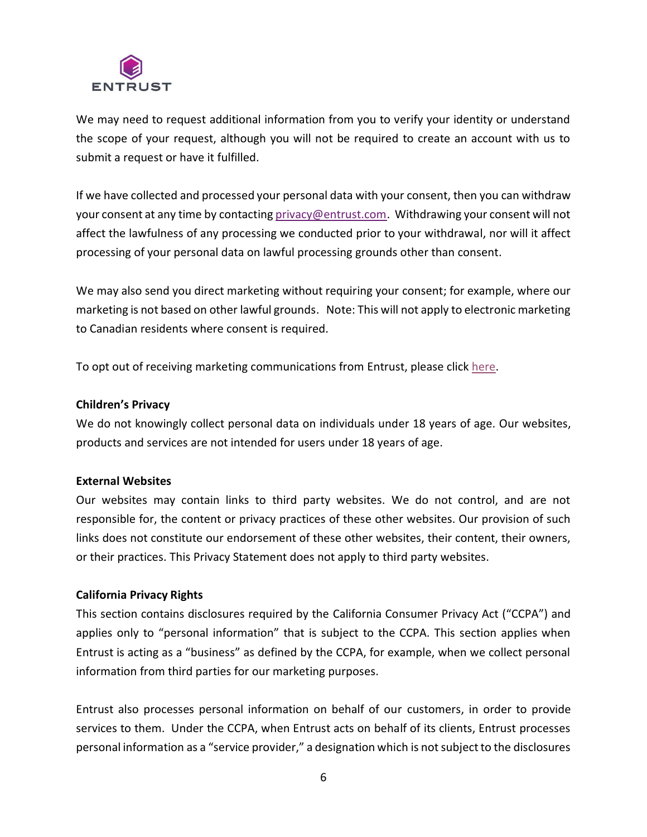

We may need to request additional information from you to verify your identity or understand the scope of your request, although you will not be required to create an account with us to submit a request or have it fulfilled.

If we have collected and processed your personal data with your consent, then you can withdraw your consent at any time by contacting [privacy@entrust.com.](mailto:privacy@entrust.com) Withdrawing your consent will not affect the lawfulness of any processing we conducted prior to your withdrawal, nor will it affect processing of your personal data on lawful processing grounds other than consent.

We may also send you direct marketing without requiring your consent; for example, where our marketing is not based on other lawful grounds. Note: This will not apply to electronic marketing to Canadian residents where consent is required.

To opt out of receiving marketing communications from Entrust, please click [here.](https://go.entrust.com/marketing-opt-out)

#### **Children's Privacy**

We do not knowingly collect personal data on individuals under 18 years of age. Our websites, products and services are not intended for users under 18 years of age.

## **External Websites**

Our websites may contain links to third party websites. We do not control, and are not responsible for, the content or privacy practices of these other websites. Our provision of such links does not constitute our endorsement of these other websites, their content, their owners, or their practices. This Privacy Statement does not apply to third party websites.

## **California Privacy Rights**

This section contains disclosures required by the California Consumer Privacy Act ("CCPA") and applies only to "personal information" that is subject to the CCPA. This section applies when Entrust is acting as a "business" as defined by the CCPA, for example, when we collect personal information from third parties for our marketing purposes.

Entrust also processes personal information on behalf of our customers, in order to provide services to them. Under the CCPA, when Entrust acts on behalf of its clients, Entrust processes personal information as a "service provider," a designation which is not subject to the disclosures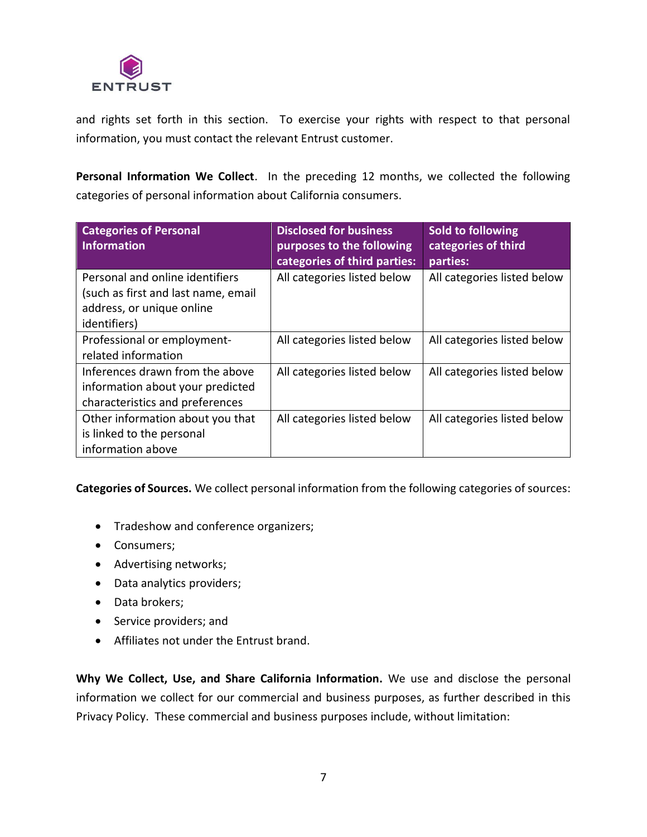

and rights set forth in this section. To exercise your rights with respect to that personal information, you must contact the relevant Entrust customer.

**Personal Information We Collect**. In the preceding 12 months, we collected the following categories of personal information about California consumers.

| <b>Categories of Personal</b><br><b>Information</b>                                                                 | <b>Disclosed for business</b><br>purposes to the following<br>categories of third parties: | Sold to following<br>categories of third<br>parties: |
|---------------------------------------------------------------------------------------------------------------------|--------------------------------------------------------------------------------------------|------------------------------------------------------|
| Personal and online identifiers<br>(such as first and last name, email<br>address, or unique online<br>identifiers) | All categories listed below                                                                | All categories listed below                          |
| Professional or employment-<br>related information                                                                  | All categories listed below                                                                | All categories listed below                          |
| Inferences drawn from the above<br>information about your predicted<br>characteristics and preferences              | All categories listed below                                                                | All categories listed below                          |
| Other information about you that<br>is linked to the personal<br>information above                                  | All categories listed below                                                                | All categories listed below                          |

**Categories of Sources.** We collect personal information from the following categories of sources:

- Tradeshow and conference organizers;
- Consumers;
- Advertising networks;
- Data analytics providers;
- Data brokers;
- Service providers; and
- Affiliates not under the Entrust brand.

**Why We Collect, Use, and Share California Information.** We use and disclose the personal information we collect for our commercial and business purposes, as further described in this Privacy Policy. These commercial and business purposes include, without limitation: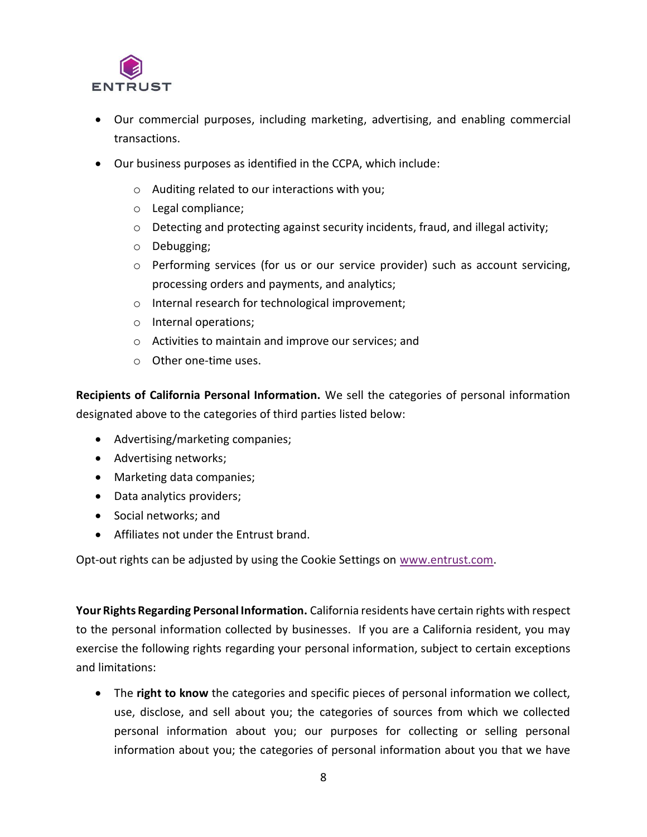

- Our commercial purposes, including marketing, advertising, and enabling commercial transactions.
- Our business purposes as identified in the CCPA, which include:
	- o Auditing related to our interactions with you;
	- o Legal compliance;
	- $\circ$  Detecting and protecting against security incidents, fraud, and illegal activity;
	- o Debugging;
	- o Performing services (for us or our service provider) such as account servicing, processing orders and payments, and analytics;
	- o Internal research for technological improvement;
	- o Internal operations;
	- o Activities to maintain and improve our services; and
	- o Other one-time uses.

**Recipients of California Personal Information.** We sell the categories of personal information designated above to the categories of third parties listed below:

- Advertising/marketing companies;
- Advertising networks;
- Marketing data companies;
- Data analytics providers;
- Social networks; and
- Affiliates not under the Entrust brand.

Opt-out rights can be adjusted by using the Cookie Settings on [www.entrust.com.](http://www.entrust.com/)

**Your Rights Regarding Personal Information.** California residents have certain rights with respect to the personal information collected by businesses. If you are a California resident, you may exercise the following rights regarding your personal information, subject to certain exceptions and limitations:

• The **right to know** the categories and specific pieces of personal information we collect, use, disclose, and sell about you; the categories of sources from which we collected personal information about you; our purposes for collecting or selling personal information about you; the categories of personal information about you that we have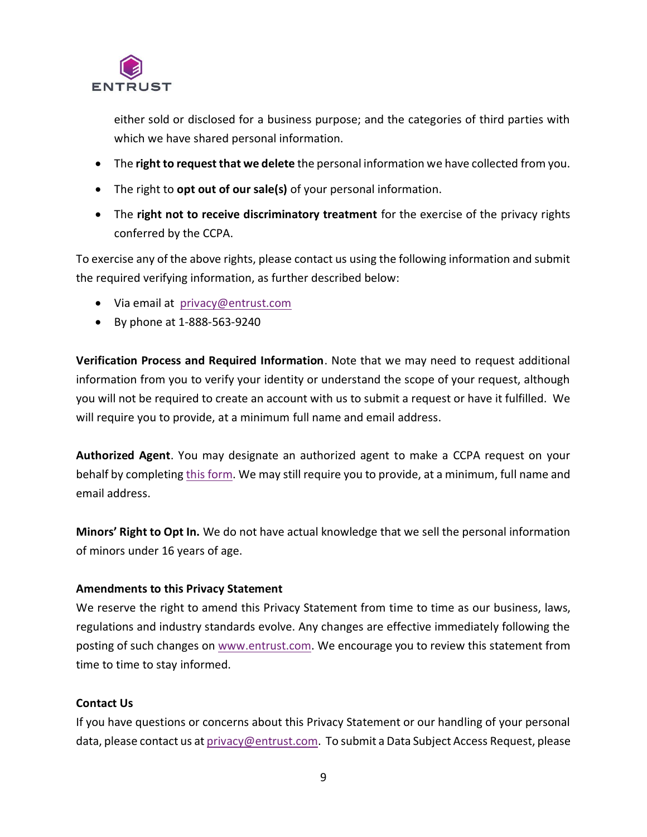

either sold or disclosed for a business purpose; and the categories of third parties with which we have shared personal information.

- The **right to request that we delete** the personal information we have collected from you.
- The right to **opt out of our sale(s)** of your personal information.
- The **right not to receive discriminatory treatment** for the exercise of the privacy rights conferred by the CCPA.

To exercise any of the above rights, please contact us using the following information and submit the required verifying information, as further described below:

- Via email at [privacy@entrust.com](mailto:privacy@entrust.com)
- By phone at 1-888-563-9240

**Verification Process and Required Information**. Note that we may need to request additional information from you to verify your identity or understand the scope of your request, although you will not be required to create an account with us to submit a request or have it fulfilled. We will require you to provide, at a minimum full name and email address.

**Authorized Agent**. You may designate an authorized agent to make a CCPA request on your behalf by completing [this form.](https://go.entrust.com/ccpa-authorized-agent) We may still require you to provide, at a minimum, full name and email address.

**Minors' Right to Opt In.** We do not have actual knowledge that we sell the personal information of minors under 16 years of age.

## **Amendments to this Privacy Statement**

We reserve the right to amend this Privacy Statement from time to time as our business, laws, regulations and industry standards evolve. Any changes are effective immediately following the posting of such changes on [www.entrust.com.](http://www.entrust.com/) We encourage you to review this statement from time to time to stay informed.

# **Contact Us**

If you have questions or concerns about this Privacy Statement or our handling of your personal data, please contact us at [privacy@entrust.com.](mailto:privacy@entrust.com) To submit a Data Subject Access Request, please